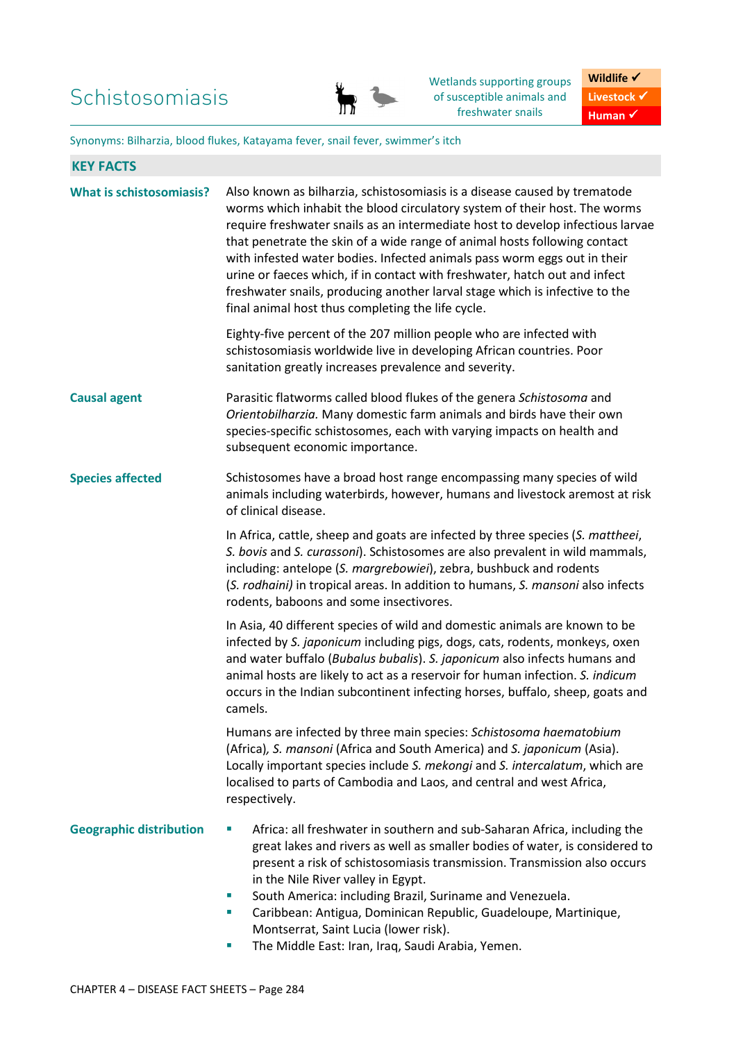

Wetlands supporting groups of susceptible animals and freshwater snails

**Wildlife √** Livestock  $\checkmark$ **Human** ✔

Synonyms: Bilharzia, blood flukes, Katayama fever, snail fever, swimmer's itch

| <b>What is schistosomiasis?</b> | Also known as bilharzia, schistosomiasis is a disease caused by trematode<br>worms which inhabit the blood circulatory system of their host. The worms<br>require freshwater snails as an intermediate host to develop infectious larvae<br>that penetrate the skin of a wide range of animal hosts following contact<br>with infested water bodies. Infected animals pass worm eggs out in their<br>urine or faeces which, if in contact with freshwater, hatch out and infect<br>freshwater snails, producing another larval stage which is infective to the<br>final animal host thus completing the life cycle. |  |  |  |
|---------------------------------|---------------------------------------------------------------------------------------------------------------------------------------------------------------------------------------------------------------------------------------------------------------------------------------------------------------------------------------------------------------------------------------------------------------------------------------------------------------------------------------------------------------------------------------------------------------------------------------------------------------------|--|--|--|
|                                 | Eighty-five percent of the 207 million people who are infected with<br>schistosomiasis worldwide live in developing African countries. Poor<br>sanitation greatly increases prevalence and severity.                                                                                                                                                                                                                                                                                                                                                                                                                |  |  |  |
| <b>Causal agent</b>             | Parasitic flatworms called blood flukes of the genera Schistosoma and<br>Orientobilharzia. Many domestic farm animals and birds have their own<br>species-specific schistosomes, each with varying impacts on health and<br>subsequent economic importance.                                                                                                                                                                                                                                                                                                                                                         |  |  |  |
| <b>Species affected</b>         | Schistosomes have a broad host range encompassing many species of wild<br>animals including waterbirds, however, humans and livestock aremost at risk<br>of clinical disease.                                                                                                                                                                                                                                                                                                                                                                                                                                       |  |  |  |
|                                 | In Africa, cattle, sheep and goats are infected by three species (S. mattheei,<br>S. bovis and S. curassoni). Schistosomes are also prevalent in wild mammals,<br>including: antelope (S. margrebowiei), zebra, bushbuck and rodents<br>(S. rodhaini) in tropical areas. In addition to humans, S. mansoni also infects<br>rodents, baboons and some insectivores.                                                                                                                                                                                                                                                  |  |  |  |
|                                 | In Asia, 40 different species of wild and domestic animals are known to be<br>infected by S. japonicum including pigs, dogs, cats, rodents, monkeys, oxen<br>and water buffalo (Bubalus bubalis). S. japonicum also infects humans and<br>animal hosts are likely to act as a reservoir for human infection. S. indicum<br>occurs in the Indian subcontinent infecting horses, buffalo, sheep, goats and<br>camels.                                                                                                                                                                                                 |  |  |  |
|                                 | Humans are infected by three main species: Schistosoma haematobium<br>(Africa), S. mansoni (Africa and South America) and S. japonicum (Asia).<br>Locally important species include S. mekongi and S. intercalatum, which are<br>localised to parts of Cambodia and Laos, and central and west Africa,<br>respectively.                                                                                                                                                                                                                                                                                             |  |  |  |
| <b>Geographic distribution</b>  | Africa: all freshwater in southern and sub-Saharan Africa, including the<br>ш<br>great lakes and rivers as well as smaller bodies of water, is considered to<br>present a risk of schistosomiasis transmission. Transmission also occurs<br>in the Nile River valley in Egypt.<br>South America: including Brazil, Suriname and Venezuela.<br>ш<br>Caribbean: Antigua, Dominican Republic, Guadeloupe, Martinique,<br>ш<br>Montserrat, Saint Lucia (lower risk).<br>The Middle East: Iran, Iraq, Saudi Arabia, Yemen.<br>ш                                                                                          |  |  |  |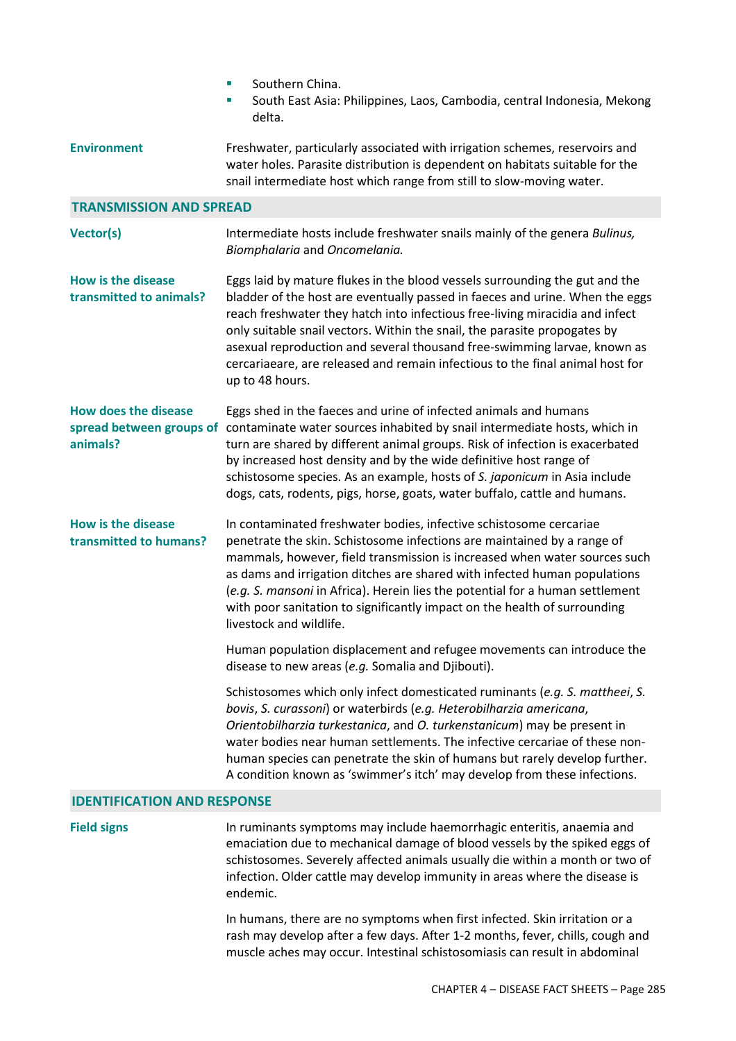|                                                                     | Southern China.<br>×.<br>South East Asia: Philippines, Laos, Cambodia, central Indonesia, Mekong<br>u,<br>delta.                                                                                                                                                                                                                                                                                                                                                                                         |  |  |  |
|---------------------------------------------------------------------|----------------------------------------------------------------------------------------------------------------------------------------------------------------------------------------------------------------------------------------------------------------------------------------------------------------------------------------------------------------------------------------------------------------------------------------------------------------------------------------------------------|--|--|--|
| <b>Environment</b>                                                  | Freshwater, particularly associated with irrigation schemes, reservoirs and<br>water holes. Parasite distribution is dependent on habitats suitable for the<br>snail intermediate host which range from still to slow-moving water.                                                                                                                                                                                                                                                                      |  |  |  |
| <b>TRANSMISSION AND SPREAD</b>                                      |                                                                                                                                                                                                                                                                                                                                                                                                                                                                                                          |  |  |  |
| Vector(s)                                                           | Intermediate hosts include freshwater snails mainly of the genera Bulinus,<br>Biomphalaria and Oncomelania.                                                                                                                                                                                                                                                                                                                                                                                              |  |  |  |
| <b>How is the disease</b><br>transmitted to animals?                | Eggs laid by mature flukes in the blood vessels surrounding the gut and the<br>bladder of the host are eventually passed in faeces and urine. When the eggs<br>reach freshwater they hatch into infectious free-living miracidia and infect<br>only suitable snail vectors. Within the snail, the parasite propogates by<br>asexual reproduction and several thousand free-swimming larvae, known as<br>cercariaeare, are released and remain infectious to the final animal host for<br>up to 48 hours. |  |  |  |
| <b>How does the disease</b><br>spread between groups of<br>animals? | Eggs shed in the faeces and urine of infected animals and humans<br>contaminate water sources inhabited by snail intermediate hosts, which in<br>turn are shared by different animal groups. Risk of infection is exacerbated<br>by increased host density and by the wide definitive host range of<br>schistosome species. As an example, hosts of S. japonicum in Asia include<br>dogs, cats, rodents, pigs, horse, goats, water buffalo, cattle and humans.                                           |  |  |  |
| <b>How is the disease</b><br>transmitted to humans?                 | In contaminated freshwater bodies, infective schistosome cercariae<br>penetrate the skin. Schistosome infections are maintained by a range of<br>mammals, however, field transmission is increased when water sources such<br>as dams and irrigation ditches are shared with infected human populations<br>(e.g. S. mansoni in Africa). Herein lies the potential for a human settlement<br>with poor sanitation to significantly impact on the health of surrounding<br>livestock and wildlife.         |  |  |  |
|                                                                     | Human population displacement and refugee movements can introduce the<br>disease to new areas (e.g. Somalia and Djibouti).                                                                                                                                                                                                                                                                                                                                                                               |  |  |  |
|                                                                     | Schistosomes which only infect domesticated ruminants (e.g. S. mattheei, S.<br>bovis, S. curassoni) or waterbirds (e.g. Heterobilharzia americana,<br>Orientobilharzia turkestanica, and O. turkenstanicum) may be present in<br>water bodies near human settlements. The infective cercariae of these non-<br>human species can penetrate the skin of humans but rarely develop further.<br>A condition known as 'swimmer's itch' may develop from these infections.                                    |  |  |  |
| <b>IDENTIFICATION AND RESPONSE</b>                                  |                                                                                                                                                                                                                                                                                                                                                                                                                                                                                                          |  |  |  |
| <b>Field signs</b>                                                  | In ruminants symptoms may include haemorrhagic enteritis, anaemia and                                                                                                                                                                                                                                                                                                                                                                                                                                    |  |  |  |

emaciation due to mechanical damage of blood vessels by the spiked eggs of schistosomes. Severely affected animals usually die within a month or two of infection. Older cattle may develop immunity in areas where the disease is endemic.

In humans, there are no symptoms when first infected. Skin irritation or a rash may develop after a few days. After 1-2 months, fever, chills, cough and muscle aches may occur. Intestinal schistosomiasis can result in abdominal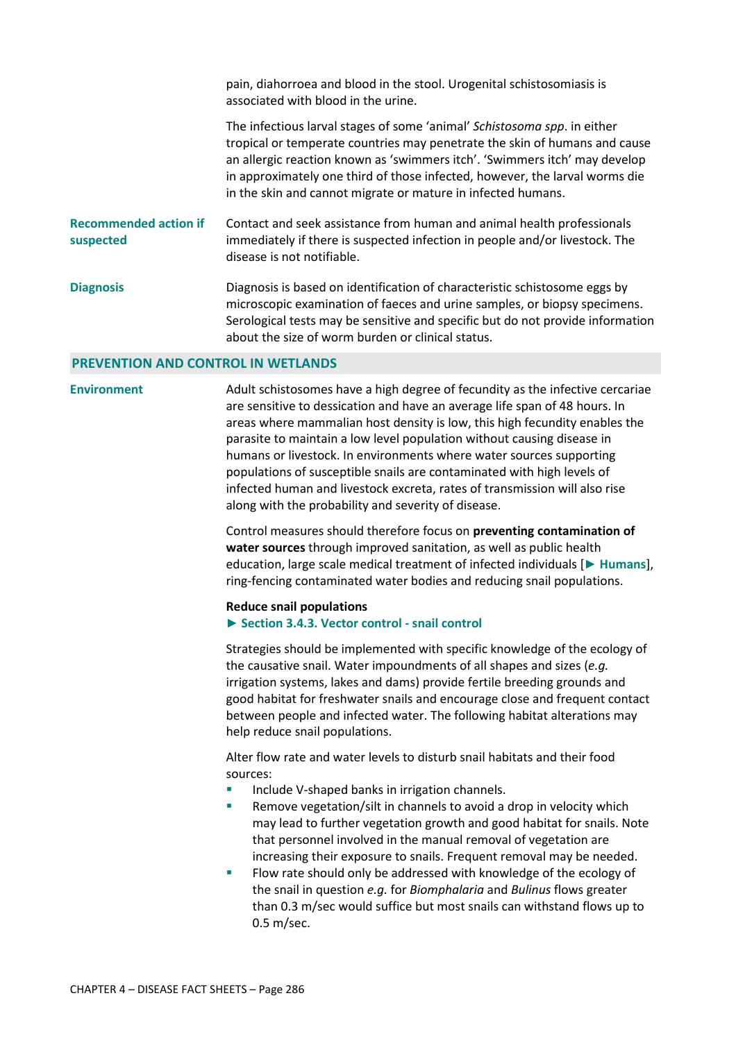pain, diahorroea and blood in the stool. Urogenital schistosomiasis is associated with blood in the urine. The infectious larval stages of some 'animal' *Schistosoma spp*. in either tropical or temperate countries may penetrate the skin of humans and cause an allergic reaction known as 'swimmers itch'. 'Swimmers itch' may develop in approximately one third of those infected, however, the larval worms die in the skin and cannot migrate or mature in infected humans. **Recommended action if suspected**  Contact and seek assistance from human and animal health professionals immediately if there is suspected infection in people and/or livestock. The disease is not notifiable. **Diagnosis** Diagnosis is based on identification of characteristic schistosome eggs by microscopic examination of faeces and urine samples, or biopsy specimens. Serological tests may be sensitive and specific but do not provide information about the size of worm burden or clinical status.

#### **PREVENTION AND CONTROL IN WETLANDS**

**Environment** Adult schistosomes have a high degree of fecundity as the infective cercariae are sensitive to dessication and have an average life span of 48 hours. In areas where mammalian host density is low, this high fecundity enables the parasite to maintain a low level population without causing disease in humans or livestock. In environments where water sources supporting populations of susceptible snails are contaminated with high levels of infected human and livestock excreta, rates of transmission will also rise along with the probability and severity of disease.

> Control measures should therefore focus on **preventing contamination of water sources** through improved sanitation, as well as public health education, large scale medical treatment of infected individuals [**► Humans**], ring-fencing contaminated water bodies and reducing snail populations.

#### **Reduce snail populations**

#### ► **Section 3.4.3. Vector control - snail control**

Strategies should be implemented with specific knowledge of the ecology of the causative snail. Water impoundments of all shapes and sizes (*e.g.* irrigation systems, lakes and dams) provide fertile breeding grounds and good habitat for freshwater snails and encourage close and frequent contact between people and infected water. The following habitat alterations may help reduce snail populations.

Alter flow rate and water levels to disturb snail habitats and their food sources:

- Include V-shaped banks in irrigation channels.
- Remove vegetation/silt in channels to avoid a drop in velocity which may lead to further vegetation growth and good habitat for snails. Note that personnel involved in the manual removal of vegetation are increasing their exposure to snails. Frequent removal may be needed.
- **Filth** Flow rate should only be addressed with knowledge of the ecology of the snail in question *e.g.* for *Biomphalaria* and *Bulinus* flows greater than 0.3 m/sec would suffice but most snails can withstand flows up to 0.5 m/sec.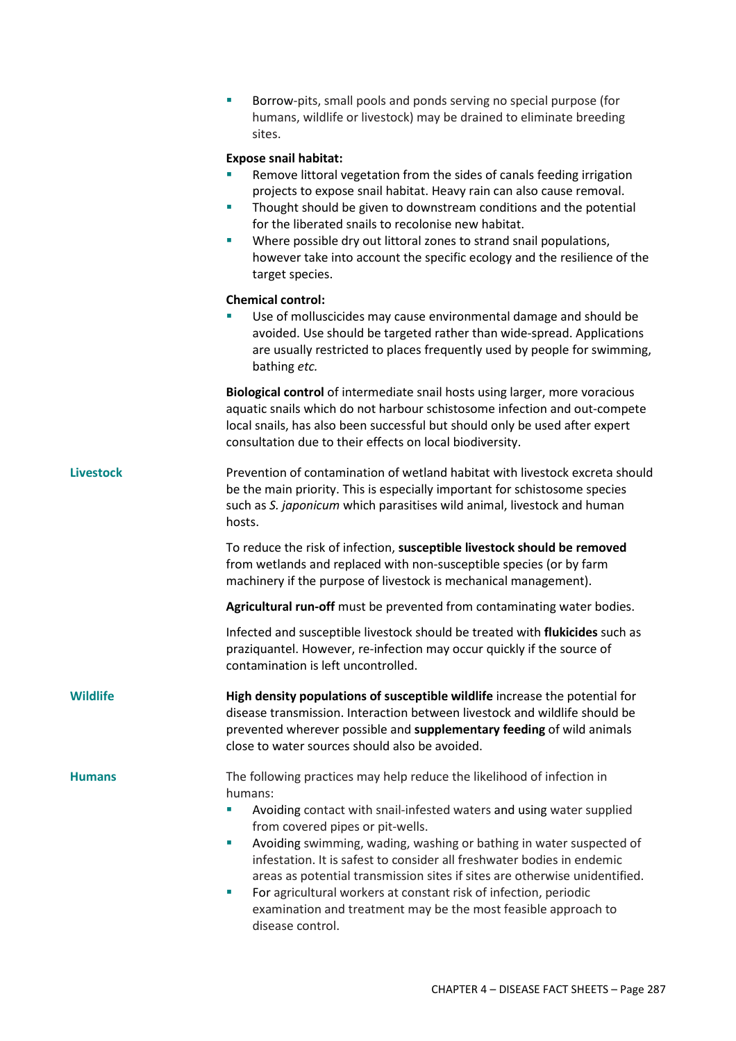Borrow-pits, small pools and ponds serving no special purpose (for humans, wildlife or livestock) may be drained to eliminate breeding sites.

## **Expose snail habitat:**

- Remove littoral vegetation from the sides of canals feeding irrigation projects to expose snail habitat. Heavy rain can also cause removal.
- **Thought should be given to downstream conditions and the potential** for the liberated snails to recolonise new habitat.
- Where possible dry out littoral zones to strand snail populations, however take into account the specific ecology and the resilience of the target species.

### **Chemical control:**

 Use of molluscicides may cause environmental damage and should be avoided. Use should be targeted rather than wide-spread. Applications are usually restricted to places frequently used by people for swimming, bathing *etc.*

**Biological control** of intermediate snail hosts using larger, more voracious aquatic snails which do not harbour schistosome infection and out-compete local snails, has also been successful but should only be used after expert consultation due to their effects on local biodiversity.

**Livestock** Prevention of contamination of wetland habitat with livestock excreta should be the main priority. This is especially important for schistosome species such as *S. japonicum* which parasitises wild animal, livestock and human hosts.

> To reduce the risk of infection, **susceptible livestock should be removed** from wetlands and replaced with non-susceptible species (or by farm machinery if the purpose of livestock is mechanical management).

**Agricultural run-off** must be prevented from contaminating water bodies.

Infected and susceptible livestock should be treated with **flukicides** such as praziquantel. However, re-infection may occur quickly if the source of contamination is left uncontrolled.

**Wildlife High density populations of susceptible wildlife** increase the potential for disease transmission. Interaction between livestock and wildlife should be prevented wherever possible and **supplementary feeding** of wild animals close to water sources should also be avoided.

## **Humans** The following practices may help reduce the likelihood of infection in humans:

- Avoiding contact with snail-infested waters and using water supplied from covered pipes or pit-wells.
- Avoiding swimming, wading, washing or bathing in water suspected of infestation. It is safest to consider all freshwater bodies in endemic areas as potential transmission sites if sites are otherwise unidentified.
- **For agricultural workers at constant risk of infection, periodic** examination and treatment may be the most feasible approach to disease control.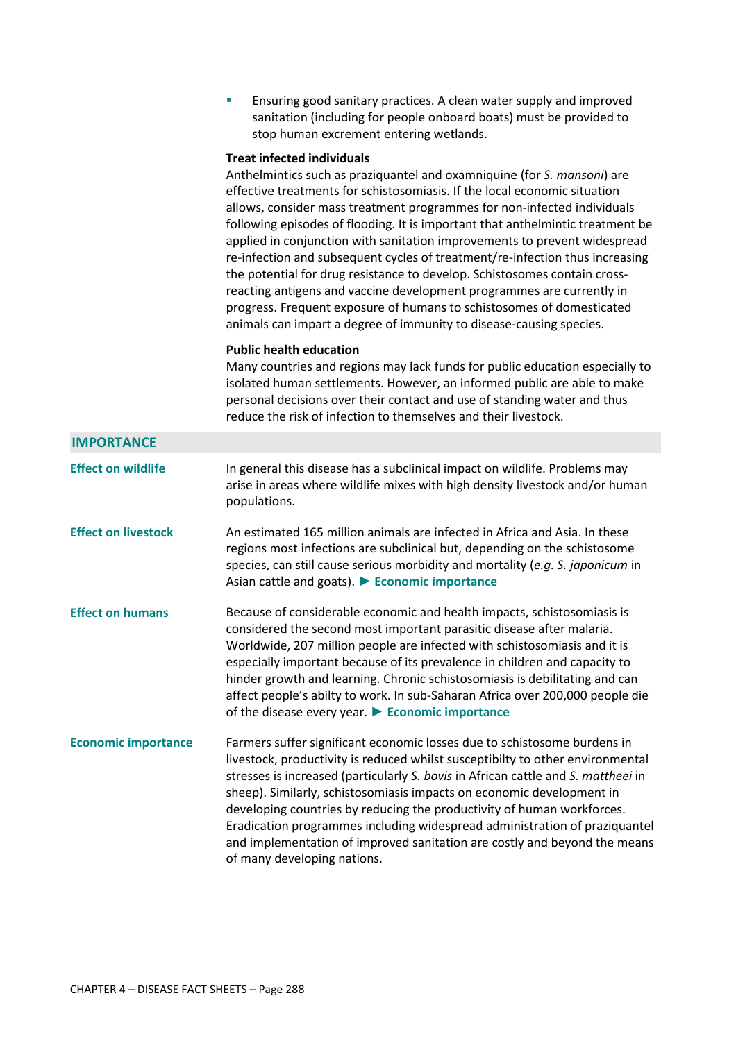| Ensuring good sanitary practices. A clean water supply and improved |
|---------------------------------------------------------------------|
| sanitation (including for people onboard boats) must be provided to |
| stop human excrement entering wetlands.                             |

### **Treat infected individuals**

Anthelmintics such as praziquantel and oxamniquine (for *S. mansoni*) are effective treatments for schistosomiasis. If the local economic situation allows, consider mass treatment programmes for non-infected individuals following episodes of flooding. It is important that anthelmintic treatment be applied in conjunction with sanitation improvements to prevent widespread re-infection and subsequent cycles of treatment/re-infection thus increasing the potential for drug resistance to develop. Schistosomes contain crossreacting antigens and vaccine development programmes are currently in progress. Frequent exposure of humans to schistosomes of domesticated animals can impart a degree of immunity to disease-causing species.

#### **Public health education**

Many countries and regions may lack funds for public education especially to isolated human settlements. However, an informed public are able to make personal decisions over their contact and use of standing water and thus reduce the risk of infection to themselves and their livestock.

| <b>IMPORTANCE</b>          |                                                                                                                                                                                                                                                                                                                                                                                                                                                                                                                                                                                              |
|----------------------------|----------------------------------------------------------------------------------------------------------------------------------------------------------------------------------------------------------------------------------------------------------------------------------------------------------------------------------------------------------------------------------------------------------------------------------------------------------------------------------------------------------------------------------------------------------------------------------------------|
| <b>Effect on wildlife</b>  | In general this disease has a subclinical impact on wildlife. Problems may<br>arise in areas where wildlife mixes with high density livestock and/or human<br>populations.                                                                                                                                                                                                                                                                                                                                                                                                                   |
| <b>Effect on livestock</b> | An estimated 165 million animals are infected in Africa and Asia. In these<br>regions most infections are subclinical but, depending on the schistosome<br>species, can still cause serious morbidity and mortality (e.g. S. japonicum in<br>Asian cattle and goats). Economic importance                                                                                                                                                                                                                                                                                                    |
| <b>Effect on humans</b>    | Because of considerable economic and health impacts, schistosomiasis is<br>considered the second most important parasitic disease after malaria.<br>Worldwide, 207 million people are infected with schistosomiasis and it is<br>especially important because of its prevalence in children and capacity to<br>hinder growth and learning. Chronic schistosomiasis is debilitating and can<br>affect people's abilty to work. In sub-Saharan Africa over 200,000 people die<br>of the disease every year. $\blacktriangleright$ Economic importance                                          |
| <b>Economic importance</b> | Farmers suffer significant economic losses due to schistosome burdens in<br>livestock, productivity is reduced whilst susceptibilty to other environmental<br>stresses is increased (particularly S. bovis in African cattle and S. mattheei in<br>sheep). Similarly, schistosomiasis impacts on economic development in<br>developing countries by reducing the productivity of human workforces.<br>Eradication programmes including widespread administration of praziquantel<br>and implementation of improved sanitation are costly and beyond the means<br>of many developing nations. |